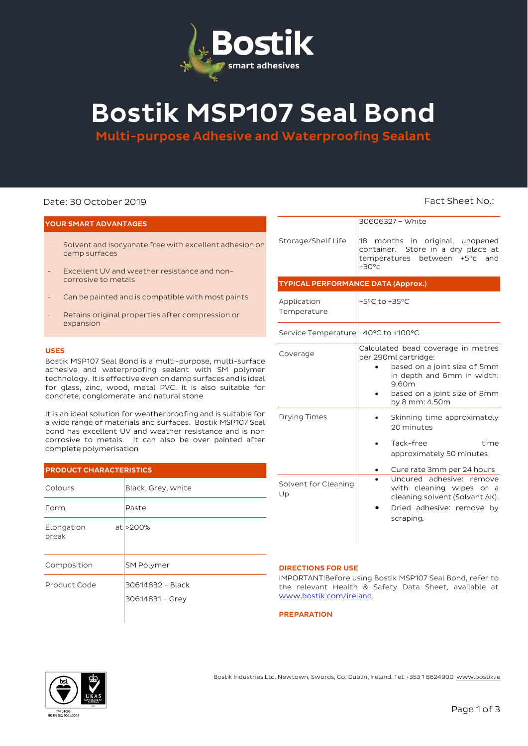

# Bostik MSP107 Seal Bond

Multi-purpose Adhesive and Waterproofing Sealant

# Date: 30 October 2019 **Fact Sheet No.: Fact Sheet No.: Fact Sheet No.:**

# YOUR SMART ADVANTAGES

- Solvent and Isocyanate free with excellent adhesion on damp surfaces
- Excellent UV and weather resistance and noncorrosive to metals
- Can be painted and is compatible with most paints
- Retains original properties after compression or expansion

### USES

Bostik MSP107 Seal Bond is a multi-purpose, multi-surface adhesive and waterproofing sealant with SM polymer technology. It is effective even on damp surfaces and is ideal for glass, zinc, wood, metal PVC. It is also suitable for concrete, conglomerate and natural stone

It is an ideal solution for weatherproofing and is suitable for a wide range of materials and surfaces. Bostik MSP107 Seal bond has excellent UV and weather resistance and is non corrosive to metals. It can also be over painted after complete polymerisation

# PRODUCT CHARACTERISTICS

| Colours             | Black, Grey, white                  |  |  |
|---------------------|-------------------------------------|--|--|
| Form                | Paste                               |  |  |
| Elongation<br>break | $at$ >200%                          |  |  |
| Composition         | <b>SM Polymer</b>                   |  |  |
| Product Code        | 30614832 - Black<br>30614831 - Grey |  |  |

|                                           | 30606327 - White<br>18 months in original, unopened<br>container. Store in a dry place at<br>temperatures between<br>$+5^{\circ}$ c<br>and<br>$+30^{\circ}$ c                       |  |  |  |
|-------------------------------------------|-------------------------------------------------------------------------------------------------------------------------------------------------------------------------------------|--|--|--|
| Storage/Shelf Life                        |                                                                                                                                                                                     |  |  |  |
| <b>TYPICAL PERFORMANCE DATA (Approx.)</b> |                                                                                                                                                                                     |  |  |  |
| Application<br>Temperature                | +5°C to +35°C                                                                                                                                                                       |  |  |  |
| Service Temperature -40°C to +100°C       |                                                                                                                                                                                     |  |  |  |
| Coverage                                  | Calculated bead coverage in metres<br>per 290ml cartridge:<br>based on a joint size of 5mm<br>in depth and 6mm in width:<br>9.60m<br>based on a joint size of 8mm<br>by 8 mm: 4.50m |  |  |  |
| <b>Drying Times</b>                       | Skinning time approximately<br>20 minutes<br>Tack-free<br>time<br>approximately 50 minutes<br>Cure rate 3mm per 24 hours                                                            |  |  |  |
| Solvent for Cleaning<br>Up                | Uncured adhesive: remove<br>with cleaning wipes or a<br>cleaning solvent (Solvant AK).<br>Dried adhesive: remove by<br>scraping.                                                    |  |  |  |

# DIRECTIONS FOR USE

IMPORTANT:Before using Bostik MSP107 Seal Bond, refer to the relevant Health & Safety Data Sheet, available at [www.bostik.com/ireland](http://www.bostik.com/ireland)

**PREPARATION** 



Bostik Industries Ltd. Newtown, Swords, Co. Dublin, Ireland. Tel: +353 1 8624900 www.bostik.ie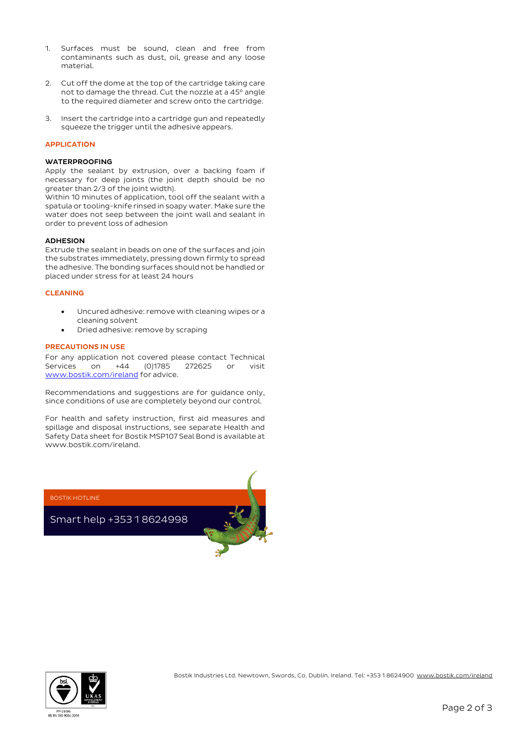- 1. Surfaces must be sound, clean and free from contaminants such as dust, oil, grease and any loose material.
- 2. Cut off the dome at the top of the cartridge taking care not to damage the thread. Cut the nozzle at a 45° angle to the required diameter and screw onto the cartridge.
- 3. Insert the cartridge into a cartridge gun and repeatedly squeeze the trigger until the adhesive appears.

# APPLICATION

## WATERPROOFING

Apply the sealant by extrusion, over a backing foam if necessary for deep joints (the joint depth should be no greater than 2/3 of the joint width).

Within 10 minutes of application, tool off the sealant with a spatula or tooling-knife rinsed in soapy water. Make sure the water does not seep between the joint wall and sealant in order to prevent loss of adhesion

# ADHESION

Extrude the sealant in beads on one of the surfaces and join the substrates immediately, pressing down firmly to spread the adhesive. The bonding surfaces should not be handled or placed under stress for at least 24 hours

# CLEANING

- Uncured adhesive: remove with cleaning wipes or a cleaning solvent
- Dried adhesive: remove by scraping

# PRECAUTIONS IN USE

For any application not covered please contact Technical Services on +44 (0)1785 272625 or visit [www.bostik.com/ireland](http://www.bostik.com/ireland) for advice.

Recommendations and suggestions are for guidance only, since conditions of use are completely beyond our control.

For health and safety instruction, first aid measures and spillage and disposal instructions, see separate Health and Safety Data sheet for Bostik MSP107 Seal Bond is available at www.bostik.com/ireland.

BOSTIK HOTLINE

Smart help +353 1 8624998